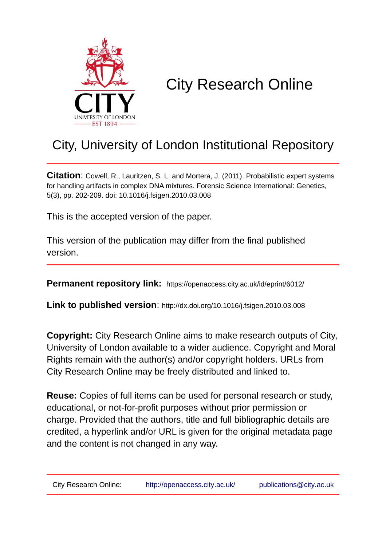

## City Research Online

## City, University of London Institutional Repository

**Citation**: Cowell, R., Lauritzen, S. L. and Mortera, J. (2011). Probabilistic expert systems for handling artifacts in complex DNA mixtures. Forensic Science International: Genetics, 5(3), pp. 202-209. doi: 10.1016/j.fsigen.2010.03.008

This is the accepted version of the paper.

This version of the publication may differ from the final published version.

**Permanent repository link:** https://openaccess.city.ac.uk/id/eprint/6012/

**Link to published version**: http://dx.doi.org/10.1016/j.fsigen.2010.03.008

**Copyright:** City Research Online aims to make research outputs of City, University of London available to a wider audience. Copyright and Moral Rights remain with the author(s) and/or copyright holders. URLs from City Research Online may be freely distributed and linked to.

**Reuse:** Copies of full items can be used for personal research or study, educational, or not-for-profit purposes without prior permission or charge. Provided that the authors, title and full bibliographic details are credited, a hyperlink and/or URL is given for the original metadata page and the content is not changed in any way.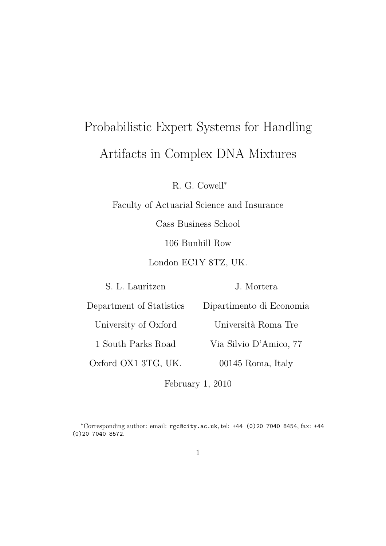# Probabilistic Expert Systems for Handling Artifacts in Complex DNA Mixtures

R. G. Cowell<sup>∗</sup>

Faculty of Actuarial Science and Insurance

Cass Business School

106 Bunhill Row

London EC1Y 8TZ, UK.

S. L. Lauritzen

J. Mortera

Dipartimento di Economia

Department of Statistics

University of Oxford Università Roma Tre

1 South Parks Road

Oxford OX1 3TG, UK.

Via Silvio D'Amico, 77

00145 Roma, Italy

February 1, 2010

<sup>∗</sup>Corresponding author: email: rgc@city.ac.uk, tel: +44 (0)20 7040 8454, fax: +44 (0)20 7040 8572.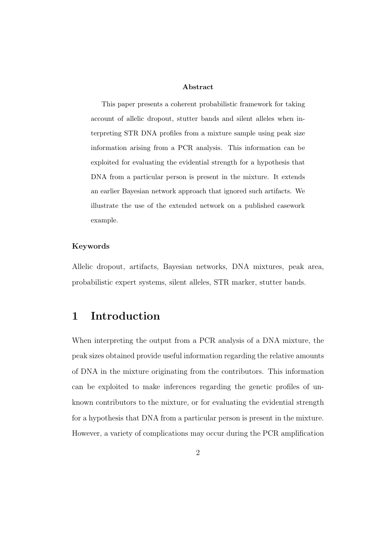#### Abstract

This paper presents a coherent probabilistic framework for taking account of allelic dropout, stutter bands and silent alleles when interpreting STR DNA profiles from a mixture sample using peak size information arising from a PCR analysis. This information can be exploited for evaluating the evidential strength for a hypothesis that DNA from a particular person is present in the mixture. It extends an earlier Bayesian network approach that ignored such artifacts. We illustrate the use of the extended network on a published casework example.

#### Keywords

Allelic dropout, artifacts, Bayesian networks, DNA mixtures, peak area, probabilistic expert systems, silent alleles, STR marker, stutter bands.

## 1 Introduction

When interpreting the output from a PCR analysis of a DNA mixture, the peak sizes obtained provide useful information regarding the relative amounts of DNA in the mixture originating from the contributors. This information can be exploited to make inferences regarding the genetic profiles of unknown contributors to the mixture, or for evaluating the evidential strength for a hypothesis that DNA from a particular person is present in the mixture. However, a variety of complications may occur during the PCR amplification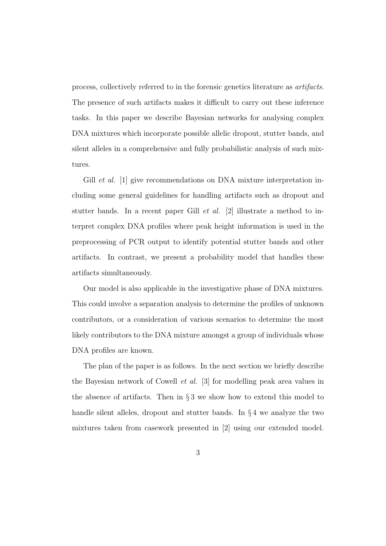process, collectively referred to in the forensic genetics literature as *artifacts*. The presence of such artifacts makes it difficult to carry out these inference tasks. In this paper we describe Bayesian networks for analysing complex DNA mixtures which incorporate possible allelic dropout, stutter bands, and silent alleles in a comprehensive and fully probabilistic analysis of such mixtures.

Gill *et al.* [1] give recommendations on DNA mixture interpretation including some general guidelines for handling artifacts such as dropout and stutter bands. In a recent paper Gill *et al.* [2] illustrate a method to interpret complex DNA profiles where peak height information is used in the preprocessing of PCR output to identify potential stutter bands and other artifacts. In contrast, we present a probability model that handles these artifacts simultaneously.

Our model is also applicable in the investigative phase of DNA mixtures. This could involve a separation analysis to determine the profiles of unknown contributors, or a consideration of various scenarios to determine the most likely contributors to the DNA mixture amongst a group of individuals whose DNA profiles are known.

The plan of the paper is as follows. In the next section we briefly describe the Bayesian network of Cowell *et al.* [3] for modelling peak area values in the absence of artifacts. Then in  $\S 3$  we show how to extend this model to handle silent alleles, dropout and stutter bands. In  $\S 4$  we analyze the two mixtures taken from casework presented in [2] using our extended model.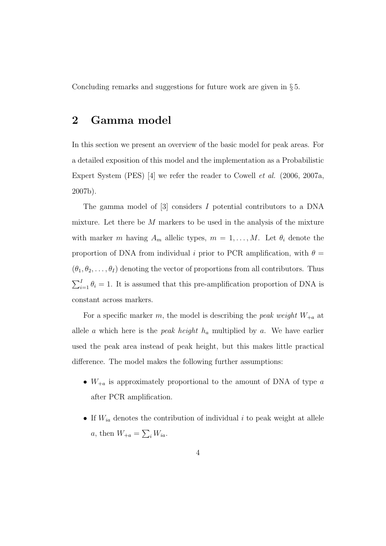Concluding remarks and suggestions for future work are given in § 5.

## 2 Gamma model

In this section we present an overview of the basic model for peak areas. For a detailed exposition of this model and the implementation as a Probabilistic Expert System (PES) [4] we refer the reader to Cowell *et al.* (2006, 2007a, 2007b).

The gamma model of [3] considers I potential contributors to a DNA mixture. Let there be  $M$  markers to be used in the analysis of the mixture with marker m having  $A_m$  allelic types,  $m = 1, ..., M$ . Let  $\theta_i$  denote the proportion of DNA from individual i prior to PCR amplification, with  $\theta =$  $(\theta_1, \theta_2, \ldots, \theta_I)$  denoting the vector of proportions from all contributors. Thus  $\sum_{i=1}^{I} \theta_i = 1$ . It is assumed that this pre-amplification proportion of DNA is constant across markers.

For a specific marker m, the model is describing the *peak weight*  $W_{+a}$  at allele a which here is the *peak height*  $h_a$  multiplied by a. We have earlier used the peak area instead of peak height, but this makes little practical difference. The model makes the following further assumptions:

- $W_{+a}$  is approximately proportional to the amount of DNA of type  $a$ after PCR amplification.
- If  $W_{ia}$  denotes the contribution of individual i to peak weight at allele *a*, then  $W_{+a} = \sum_i W_{ia}$ .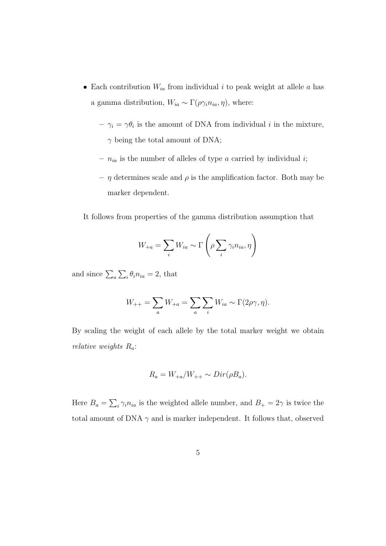- Each contribution  $W_{ia}$  from individual i to peak weight at allele a has a gamma distribution,  $W_{ia} \sim \Gamma(\rho \gamma_i n_{ia}, \eta)$ , where:
	- $-\gamma_i = \gamma \theta_i$  is the amount of DNA from individual *i* in the mixture,  $\gamma$  being the total amount of DNA;
	- $n_{ia}$  is the number of alleles of type a carried by individual i;
	- $-$  η determines scale and  $\rho$  is the amplification factor. Both may be marker dependent.

It follows from properties of the gamma distribution assumption that

$$
W_{+a} = \sum_{i} W_{ia} \sim \Gamma\left(\rho \sum_{i} \gamma_i n_{ia}, \eta\right)
$$

and since  $\sum_{a} \sum_{i} \theta_i n_{ia} = 2$ , that

$$
W_{++} = \sum_{a} W_{+a} = \sum_{a} \sum_{i} W_{ia} \sim \Gamma(2\rho\gamma, \eta).
$$

By scaling the weight of each allele by the total marker weight we obtain *relative weights* Ra:

$$
R_a = W_{+a}/W_{++} \sim Dir(\rho B_a).
$$

Here  $B_a = \sum_i \gamma_i n_{ia}$  is the weighted allele number, and  $B_+ = 2\gamma$  is twice the total amount of DNA  $\gamma$  and is marker independent. It follows that, observed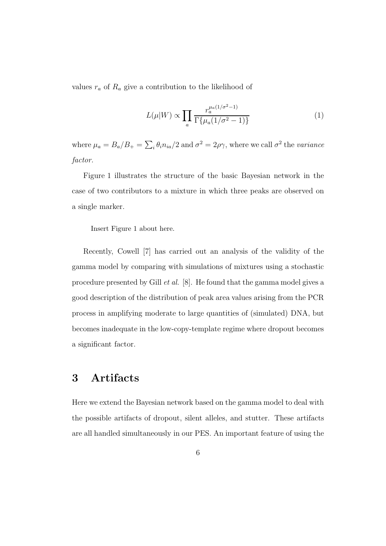values  $r_a$  of  $R_a$  give a contribution to the likelihood of

$$
L(\mu|W) \propto \prod_{a} \frac{r_a^{\mu_a(1/\sigma^2 - 1)}}{\Gamma\{\mu_a(1/\sigma^2 - 1)\}}
$$
(1)

where  $\mu_a = B_a/B_+ = \sum_i \theta_i n_{ia}/2$  and  $\sigma^2 = 2\rho\gamma$ , where we call  $\sigma^2$  the *variance factor.*

Figure 1 illustrates the structure of the basic Bayesian network in the case of two contributors to a mixture in which three peaks are observed on a single marker.

Insert Figure 1 about here.

Recently, Cowell [7] has carried out an analysis of the validity of the gamma model by comparing with simulations of mixtures using a stochastic procedure presented by Gill *et al.* [8]. He found that the gamma model gives a good description of the distribution of peak area values arising from the PCR process in amplifying moderate to large quantities of (simulated) DNA, but becomes inadequate in the low-copy-template regime where dropout becomes a significant factor.

## 3 Artifacts

Here we extend the Bayesian network based on the gamma model to deal with the possible artifacts of dropout, silent alleles, and stutter. These artifacts are all handled simultaneously in our PES. An important feature of using the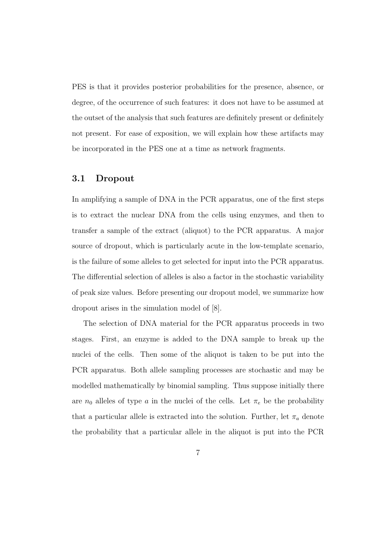PES is that it provides posterior probabilities for the presence, absence, or degree, of the occurrence of such features: it does not have to be assumed at the outset of the analysis that such features are definitely present or definitely not present. For ease of exposition, we will explain how these artifacts may be incorporated in the PES one at a time as network fragments.

#### 3.1 Dropout

In amplifying a sample of DNA in the PCR apparatus, one of the first steps is to extract the nuclear DNA from the cells using enzymes, and then to transfer a sample of the extract (aliquot) to the PCR apparatus. A major source of dropout, which is particularly acute in the low-template scenario, is the failure of some alleles to get selected for input into the PCR apparatus. The differential selection of alleles is also a factor in the stochastic variability of peak size values. Before presenting our dropout model, we summarize how dropout arises in the simulation model of [8].

The selection of DNA material for the PCR apparatus proceeds in two stages. First, an enzyme is added to the DNA sample to break up the nuclei of the cells. Then some of the aliquot is taken to be put into the PCR apparatus. Both allele sampling processes are stochastic and may be modelled mathematically by binomial sampling. Thus suppose initially there are  $n_0$  alleles of type a in the nuclei of the cells. Let  $\pi_e$  be the probability that a particular allele is extracted into the solution. Further, let  $\pi_a$  denote the probability that a particular allele in the aliquot is put into the PCR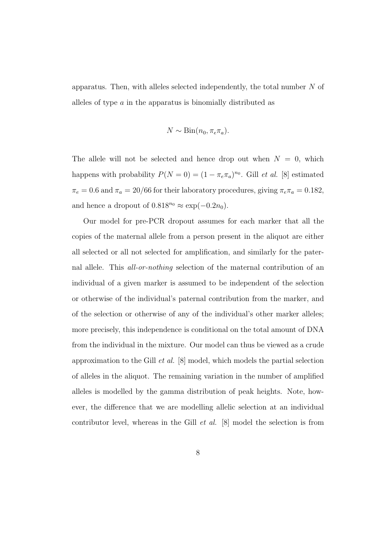apparatus. Then, with alleles selected independently, the total number N of alleles of type a in the apparatus is binomially distributed as

$$
N \sim \text{Bin}(n_0, \pi_e \pi_a).
$$

The allele will not be selected and hence drop out when  $N = 0$ , which happens with probability  $P(N = 0) = (1 - \pi_e \pi_a)^{n_0}$ . Gill *et al.* [8] estimated  $\pi_e = 0.6$  and  $\pi_a = 20/66$  for their laboratory procedures, giving  $\pi_e \pi_a = 0.182$ , and hence a dropout of  $0.818^{n_0} \approx \exp(-0.2n_0)$ .

Our model for pre-PCR dropout assumes for each marker that all the copies of the maternal allele from a person present in the aliquot are either all selected or all not selected for amplification, and similarly for the paternal allele. This *all-or-nothing* selection of the maternal contribution of an individual of a given marker is assumed to be independent of the selection or otherwise of the individual's paternal contribution from the marker, and of the selection or otherwise of any of the individual's other marker alleles; more precisely, this independence is conditional on the total amount of DNA from the individual in the mixture. Our model can thus be viewed as a crude approximation to the Gill *et al.* [8] model, which models the partial selection of alleles in the aliquot. The remaining variation in the number of amplified alleles is modelled by the gamma distribution of peak heights. Note, however, the difference that we are modelling allelic selection at an individual contributor level, whereas in the Gill *et al.* [8] model the selection is from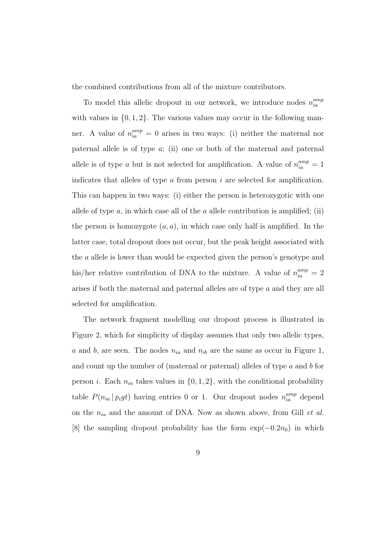the combined contributions from all of the mixture contributors.

To model this allelic dropout in our network, we introduce nodes  $n_{ia}^{amp}$ ia with values in  $\{0, 1, 2\}$ . The various values may occur in the following manner. A value of  $n_{ia}^{amp} = 0$  arises in two ways: (i) neither the maternal nor paternal allele is of type  $a$ ; (ii) one or both of the maternal and paternal allele is of type a but is not selected for amplification. A value of  $n_{ia}^{amp} = 1$ indicates that alleles of type  $\alpha$  from person  $i$  are selected for amplification. This can happen in two ways: (i) either the person is heterozygotic with one allele of type  $a$ , in which case all of the  $a$  allele contribution is amplified; (ii) the person is homozygote  $(a, a)$ , in which case only half is amplified. In the latter case, total dropout does not occur, but the peak height associated with the a allele is lower than would be expected given the person's genotype and his/her relative contribution of DNA to the mixture. A value of  $n_{ia}^{amp} = 2$ arises if both the maternal and paternal alleles are of type a and they are all selected for amplification.

The network fragment modelling our dropout process is illustrated in Figure 2, which for simplicity of display assumes that only two allelic types, a and b, are seen. The nodes  $n_{ia}$  and  $n_{ib}$  are the same as occur in Figure 1, and count up the number of (maternal or paternal) alleles of type  $a$  and  $b$  for person *i*. Each  $n_{ia}$  takes values in  $\{0, 1, 2\}$ , with the conditional probability table  $P(n_{ia} | p_igt)$  having entries 0 or 1. Our dropout nodes  $n_{ia}^{amp}$  depend on the nia and the amount of DNA. Now as shown above, from Gill *et al.* [8] the sampling dropout probability has the form  $\exp(-0.2n_0)$  in which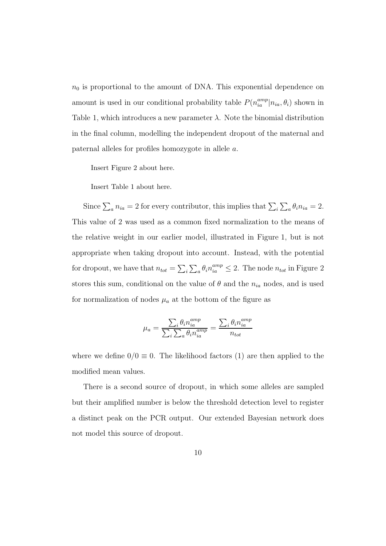$n_0$  is proportional to the amount of DNA. This exponential dependence on amount is used in our conditional probability table  $P(n_{ia}^{amp}|n_{ia}, \theta_i)$  shown in Table 1, which introduces a new parameter  $\lambda$ . Note the binomial distribution in the final column, modelling the independent dropout of the maternal and paternal alleles for profiles homozygote in allele a.

Insert Figure 2 about here.

Insert Table 1 about here.

Since  $\sum_a n_{ia} = 2$  for every contributor, this implies that  $\sum_i \sum_a \theta_i n_{ia} = 2$ . This value of 2 was used as a common fixed normalization to the means of the relative weight in our earlier model, illustrated in Figure 1, but is not appropriate when taking dropout into account. Instead, with the potential for dropout, we have that  $n_{tot} = \sum_i \sum_a \theta_i n_{ia}^{amp} \leq 2$ . The node  $n_{tot}$  in Figure 2 stores this sum, conditional on the value of  $\theta$  and the  $n_{ia}$  nodes, and is used for normalization of nodes  $\mu_a$  at the bottom of the figure as

$$
\mu_a = \frac{\sum_i \theta_i n_{ia}^{amp}}{\sum_i \sum_a \theta_i n_{ia}^{amp}} = \frac{\sum_i \theta_i n_{ia}^{amp}}{n_{tot}}
$$

where we define  $0/0 \equiv 0$ . The likelihood factors (1) are then applied to the modified mean values.

There is a second source of dropout, in which some alleles are sampled but their amplified number is below the threshold detection level to register a distinct peak on the PCR output. Our extended Bayesian network does not model this source of dropout.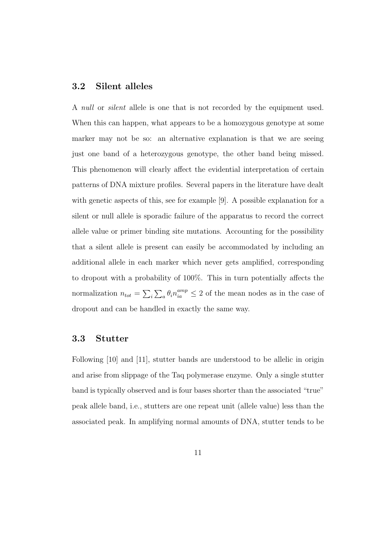#### 3.2 Silent alleles

A *null* or *silent* allele is one that is not recorded by the equipment used. When this can happen, what appears to be a homozygous genotype at some marker may not be so: an alternative explanation is that we are seeing just one band of a heterozygous genotype, the other band being missed. This phenomenon will clearly affect the evidential interpretation of certain patterns of DNA mixture profiles. Several papers in the literature have dealt with genetic aspects of this, see for example [9]. A possible explanation for a silent or null allele is sporadic failure of the apparatus to record the correct allele value or primer binding site mutations. Accounting for the possibility that a silent allele is present can easily be accommodated by including an additional allele in each marker which never gets amplified, corresponding to dropout with a probability of 100%. This in turn potentially affects the normalization  $n_{tot} = \sum_i \sum_a \theta_i n_{ia}^{amp} \leq 2$  of the mean nodes as in the case of dropout and can be handled in exactly the same way.

#### 3.3 Stutter

Following [10] and [11], stutter bands are understood to be allelic in origin and arise from slippage of the Taq polymerase enzyme. Only a single stutter band is typically observed and is four bases shorter than the associated "true" peak allele band, i.e., stutters are one repeat unit (allele value) less than the associated peak. In amplifying normal amounts of DNA, stutter tends to be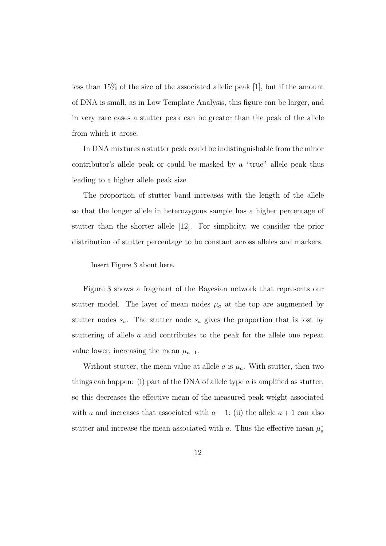less than 15% of the size of the associated allelic peak [1], but if the amount of DNA is small, as in Low Template Analysis, this figure can be larger, and in very rare cases a stutter peak can be greater than the peak of the allele from which it arose.

In DNA mixtures a stutter peak could be indistinguishable from the minor contributor's allele peak or could be masked by a "true" allele peak thus leading to a higher allele peak size.

The proportion of stutter band increases with the length of the allele so that the longer allele in heterozygous sample has a higher percentage of stutter than the shorter allele [12]. For simplicity, we consider the prior distribution of stutter percentage to be constant across alleles and markers.

Insert Figure 3 about here.

Figure 3 shows a fragment of the Bayesian network that represents our stutter model. The layer of mean nodes  $\mu_a$  at the top are augmented by stutter nodes  $s_a$ . The stutter node  $s_a$  gives the proportion that is lost by stuttering of allele a and contributes to the peak for the allele one repeat value lower, increasing the mean  $\mu_{a-1}$ .

Without stutter, the mean value at allele  $\alpha$  is  $\mu_a$ . With stutter, then two things can happen: (i) part of the DNA of allele type  $a$  is amplified as stutter, so this decreases the effective mean of the measured peak weight associated with a and increases that associated with  $a - 1$ ; (ii) the allele  $a + 1$  can also stutter and increase the mean associated with a. Thus the effective mean  $\mu_a^*$ a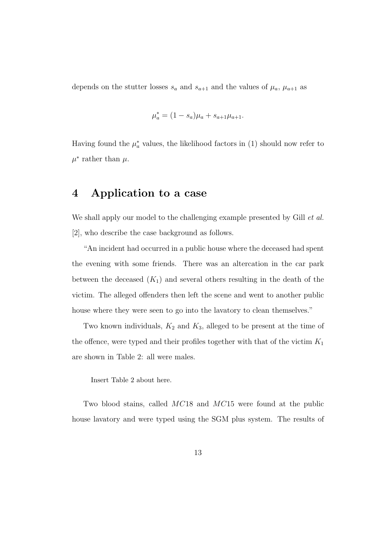depends on the stutter losses  $s_a$  and  $s_{a+1}$  and the values of  $\mu_a$ ,  $\mu_{a+1}$  as

$$
\mu_a^* = (1 - s_a)\mu_a + s_{a+1}\mu_{a+1}.
$$

Having found the  $\mu_a^*$  values, the likelihood factors in (1) should now refer to  $\mu^*$  rather than  $\mu$ .

## 4 Application to a case

We shall apply our model to the challenging example presented by Gill *et al.* [2], who describe the case background as follows.

"An incident had occurred in a public house where the deceased had spent the evening with some friends. There was an altercation in the car park between the deceased  $(K_1)$  and several others resulting in the death of the victim. The alleged offenders then left the scene and went to another public house where they were seen to go into the lavatory to clean themselves."

Two known individuals,  $K_2$  and  $K_3$ , alleged to be present at the time of the offence, were typed and their profiles together with that of the victim  $K_{\rm 1}$ are shown in Table 2: all were males.

Insert Table 2 about here.

Two blood stains, called MC18 and MC15 were found at the public house lavatory and were typed using the SGM plus system. The results of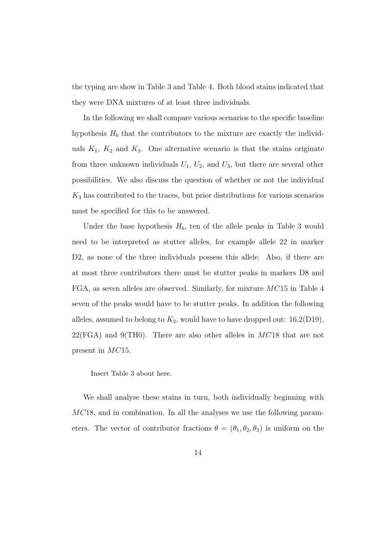the typing are show in Table 3 and Table 4. Both blood stains indicated that they were DNA mixtures of at least three individuals.

In the following we shall compare various scenarios to the specific baseline hypothesis  $H_b$  that the contributors to the mixture are exactly the individuals  $K_1$ ,  $K_2$  and  $K_3$ . One alternative scenario is that the stains originate from three unknown individuals  $U_1$ ,  $U_2$ , and  $U_3$ , but there are several other possibilities. We also discuss the question of whether or not the individual  $K_3$  has contributed to the traces, but prior distributions for various scenarios must be specified for this to be answered.

Under the base hypothesis  $H_b$ , ten of the allele peaks in Table 3 would need to be interpreted as stutter alleles, for example allele 22 in marker D2, as none of the three individuals possess this allele. Also, if there are at most three contributors there must be stutter peaks in markers D8 and FGA, as seven alleles are observed. Similarly, for mixture  $MC15$  in Table 4 seven of the peaks would have to be stutter peaks. In addition the following alleles, assumed to belong to  $K_2$ , would have to have dropped out: 16.2(D19),  $22(FGA)$  and 9(TH0). There are also other alleles in  $MC18$  that are not present in MC15.

Insert Table 3 about here.

We shall analyse these stains in turn, both individually beginning with MC18, and in combination. In all the analyses we use the following parameters. The vector of contributor fractions  $\theta = (\theta_1, \theta_2, \theta_3)$  is uniform on the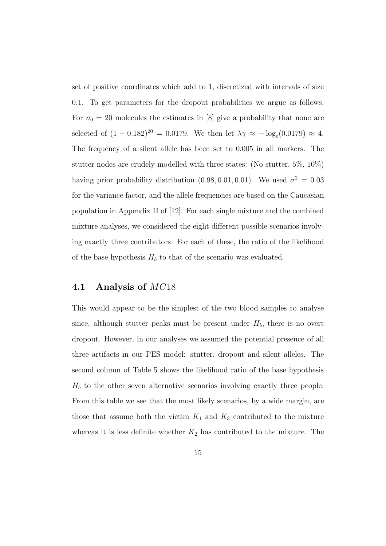set of positive coordinates which add to 1, discretized with intervals of size 0.1. To get parameters for the dropout probabilities we argue as follows. For  $n_0 = 20$  molecules the estimates in [8] give a probability that none are selected of  $(1 - 0.182)^{20} = 0.0179$ . We then let  $\lambda \gamma \approx -\log_e(0.0179) \approx 4$ . The frequency of a silent allele has been set to 0.005 in all markers. The stutter nodes are crudely modelled with three states: (No stutter, 5%, 10%) having prior probability distribution  $(0.98, 0.01, 0.01)$ . We used  $\sigma^2 = 0.03$ for the variance factor, and the allele frequencies are based on the Caucasian population in Appendix II of [12]. For each single mixture and the combined mixture analyses, we considered the eight different possible scenarios involving exactly three contributors. For each of these, the ratio of the likelihood of the base hypothesis  $H_b$  to that of the scenario was evaluated.

## 4.1 Analysis of MC18

This would appear to be the simplest of the two blood samples to analyse since, although stutter peaks must be present under  $H_b$ , there is no overt dropout. However, in our analyses we assumed the potential presence of all three artifacts in our PES model: stutter, dropout and silent alleles. The second column of Table 5 shows the likelihood ratio of the base hypothesis  $H_b$  to the other seven alternative scenarios involving exactly three people. From this table we see that the most likely scenarios, by a wide margin, are those that assume both the victim  $K_1$  and  $K_3$  contributed to the mixture whereas it is less definite whether  $K_2$  has contributed to the mixture. The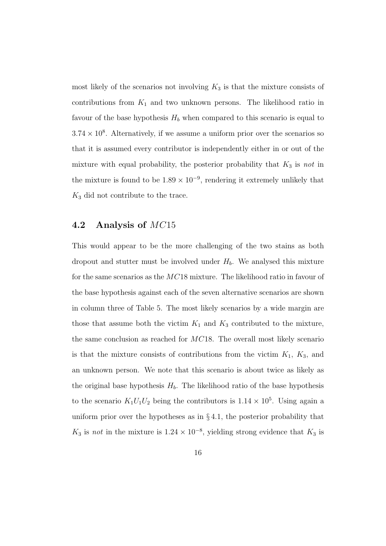most likely of the scenarios not involving  $K_3$  is that the mixture consists of contributions from  $K_1$  and two unknown persons. The likelihood ratio in favour of the base hypothesis  $H_b$  when compared to this scenario is equal to  $3.74 \times 10^8$ . Alternatively, if we assume a uniform prior over the scenarios so that it is assumed every contributor is independently either in or out of the mixture with equal probability, the posterior probability that  $K_3$  is *not* in the mixture is found to be  $1.89 \times 10^{-9}$ , rendering it extremely unlikely that  $K_3$  did not contribute to the trace.

## 4.2 Analysis of MC15

This would appear to be the more challenging of the two stains as both dropout and stutter must be involved under  $H_b$ . We analysed this mixture for the same scenarios as the  $MC18$  mixture. The likelihood ratio in favour of the base hypothesis against each of the seven alternative scenarios are shown in column three of Table 5. The most likely scenarios by a wide margin are those that assume both the victim  $K_1$  and  $K_3$  contributed to the mixture, the same conclusion as reached for MC18. The overall most likely scenario is that the mixture consists of contributions from the victim  $K_1$ ,  $K_3$ , and an unknown person. We note that this scenario is about twice as likely as the original base hypothesis  $H_b$ . The likelihood ratio of the base hypothesis to the scenario  $K_1U_1U_2$  being the contributors is  $1.14 \times 10^5$ . Using again a uniform prior over the hypotheses as in  $\S 4.1$ , the posterior probability that  $K_3$  is *not* in the mixture is  $1.24 \times 10^{-8}$ , yielding strong evidence that  $K_3$  is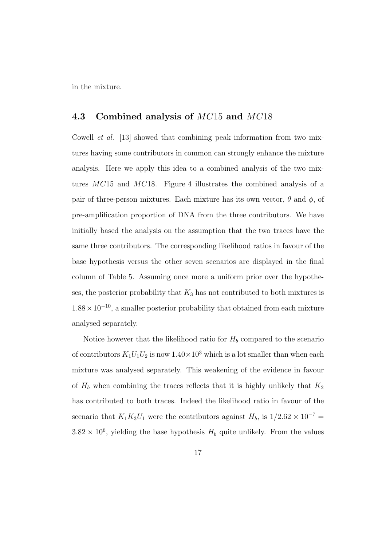in the mixture.

## 4.3 Combined analysis of MC15 and MC18

Cowell *et al.* [13] showed that combining peak information from two mixtures having some contributors in common can strongly enhance the mixture analysis. Here we apply this idea to a combined analysis of the two mixtures MC15 and MC18. Figure 4 illustrates the combined analysis of a pair of three-person mixtures. Each mixture has its own vector,  $\theta$  and  $\phi$ , of pre-amplification proportion of DNA from the three contributors. We have initially based the analysis on the assumption that the two traces have the same three contributors. The corresponding likelihood ratios in favour of the base hypothesis versus the other seven scenarios are displayed in the final column of Table 5. Assuming once more a uniform prior over the hypotheses, the posterior probability that  $K_3$  has not contributed to both mixtures is  $1.88 \times 10^{-10}$ , a smaller posterior probability that obtained from each mixture analysed separately.

Notice however that the likelihood ratio for  $H_b$  compared to the scenario of contributors  $K_1U_1U_2$  is now  $1.40 \times 10^3$  which is a lot smaller than when each mixture was analysed separately. This weakening of the evidence in favour of  $H_b$  when combining the traces reflects that it is highly unlikely that  $K_2$ has contributed to both traces. Indeed the likelihood ratio in favour of the scenario that  $K_1K_3U_1$  were the contributors against  $H_b$ , is  $1/2.62 \times 10^{-7} =$  $3.82 \times 10^6$ , yielding the base hypothesis  $H_b$  quite unlikely. From the values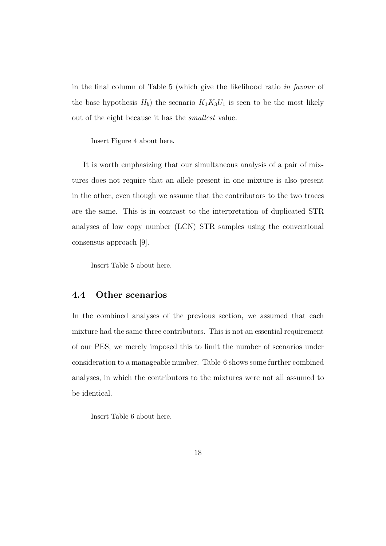in the final column of Table 5 (which give the likelihood ratio *in favour* of the base hypothesis  $H_b$ ) the scenario  $K_1K_3U_1$  is seen to be the most likely out of the eight because it has the *smallest* value.

Insert Figure 4 about here.

It is worth emphasizing that our simultaneous analysis of a pair of mixtures does not require that an allele present in one mixture is also present in the other, even though we assume that the contributors to the two traces are the same. This is in contrast to the interpretation of duplicated STR analyses of low copy number (LCN) STR samples using the conventional consensus approach [9].

Insert Table 5 about here.

## 4.4 Other scenarios

In the combined analyses of the previous section, we assumed that each mixture had the same three contributors. This is not an essential requirement of our PES, we merely imposed this to limit the number of scenarios under consideration to a manageable number. Table 6 shows some further combined analyses, in which the contributors to the mixtures were not all assumed to be identical.

Insert Table 6 about here.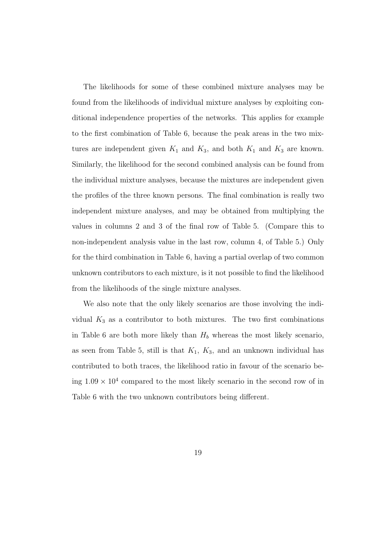The likelihoods for some of these combined mixture analyses may be found from the likelihoods of individual mixture analyses by exploiting conditional independence properties of the networks. This applies for example to the first combination of Table 6, because the peak areas in the two mixtures are independent given  $K_1$  and  $K_3$ , and both  $K_1$  and  $K_3$  are known. Similarly, the likelihood for the second combined analysis can be found from the individual mixture analyses, because the mixtures are independent given the profiles of the three known persons. The final combination is really two independent mixture analyses, and may be obtained from multiplying the values in columns 2 and 3 of the final row of Table 5. (Compare this to non-independent analysis value in the last row, column 4, of Table 5.) Only for the third combination in Table 6, having a partial overlap of two common unknown contributors to each mixture, is it not possible to find the likelihood from the likelihoods of the single mixture analyses.

We also note that the only likely scenarios are those involving the individual  $K_3$  as a contributor to both mixtures. The two first combinations in Table 6 are both more likely than  $H_b$  whereas the most likely scenario, as seen from Table 5, still is that  $K_1$ ,  $K_3$ , and an unknown individual has contributed to both traces, the likelihood ratio in favour of the scenario being  $1.09 \times 10^4$  compared to the most likely scenario in the second row of in Table 6 with the two unknown contributors being different.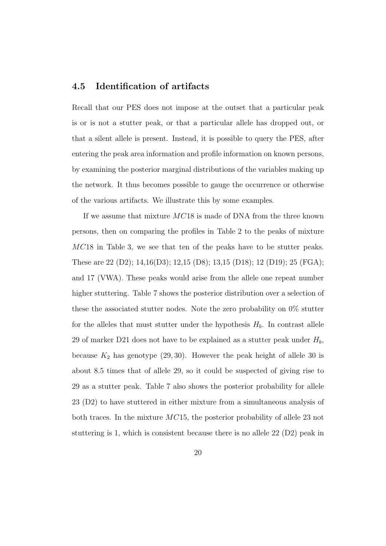## 4.5 Identification of artifacts

Recall that our PES does not impose at the outset that a particular peak is or is not a stutter peak, or that a particular allele has dropped out, or that a silent allele is present. Instead, it is possible to query the PES, after entering the peak area information and profile information on known persons, by examining the posterior marginal distributions of the variables making up the network. It thus becomes possible to gauge the occurrence or otherwise of the various artifacts. We illustrate this by some examples.

If we assume that mixture MC18 is made of DNA from the three known persons, then on comparing the profiles in Table 2 to the peaks of mixture MC18 in Table 3, we see that ten of the peaks have to be stutter peaks. These are 22 (D2); 14,16(D3); 12,15 (D8); 13,15 (D18); 12 (D19); 25 (FGA); and 17 (VWA). These peaks would arise from the allele one repeat number higher stuttering. Table 7 shows the posterior distribution over a selection of these the associated stutter nodes. Note the zero probability on 0% stutter for the alleles that must stutter under the hypothesis  $H_b$ . In contrast allele 29 of marker D21 does not have to be explained as a stutter peak under  $H_b$ , because  $K_2$  has genotype (29, 30). However the peak height of allele 30 is about 8.5 times that of allele 29, so it could be suspected of giving rise to 29 as a stutter peak. Table 7 also shows the posterior probability for allele 23 (D2) to have stuttered in either mixture from a simultaneous analysis of both traces. In the mixture MC15, the posterior probability of allele 23 not stuttering is 1, which is consistent because there is no allele 22 (D2) peak in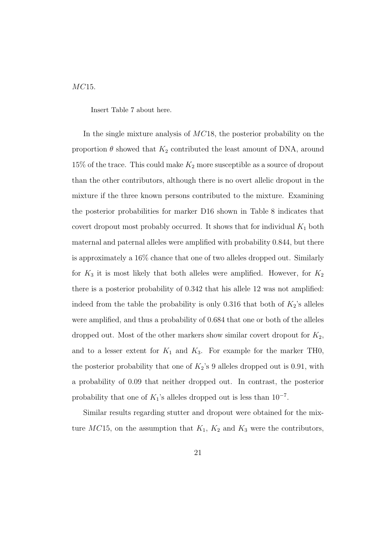MC15.

Insert Table 7 about here.

In the single mixture analysis of MC18, the posterior probability on the proportion  $\theta$  showed that  $K_2$  contributed the least amount of DNA, around  $15\%$  of the trace. This could make  $K_2$  more susceptible as a source of dropout than the other contributors, although there is no overt allelic dropout in the mixture if the three known persons contributed to the mixture. Examining the posterior probabilities for marker D16 shown in Table 8 indicates that covert dropout most probably occurred. It shows that for individual  $K_1$  both maternal and paternal alleles were amplified with probability 0.844, but there is approximately a 16% chance that one of two alleles dropped out. Similarly for  $K_3$  it is most likely that both alleles were amplified. However, for  $K_2$ there is a posterior probability of 0.342 that his allele 12 was not amplified: indeed from the table the probability is only 0.316 that both of  $K_2$ 's alleles were amplified, and thus a probability of 0.684 that one or both of the alleles dropped out. Most of the other markers show similar covert dropout for  $K_2$ , and to a lesser extent for  $K_1$  and  $K_3$ . For example for the marker TH0, the posterior probability that one of  $K_2$ 's 9 alleles dropped out is 0.91, with a probability of 0.09 that neither dropped out. In contrast, the posterior probability that one of  $K_1$ 's alleles dropped out is less than  $10^{-7}$ .

Similar results regarding stutter and dropout were obtained for the mixture  $MC15$ , on the assumption that  $K_1$ ,  $K_2$  and  $K_3$  were the contributors,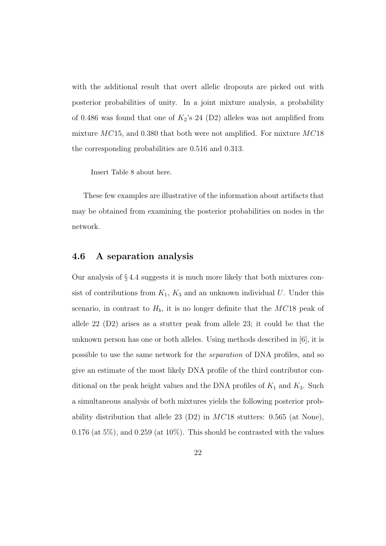with the additional result that overt allelic dropouts are picked out with posterior probabilities of unity. In a joint mixture analysis, a probability of 0.486 was found that one of  $K_2$ 's 24 (D2) alleles was not amplified from mixture  $MC15$ , and 0.380 that both were not amplified. For mixture  $MC18$ the corresponding probabilities are 0.516 and 0.313.

Insert Table 8 about here.

These few examples are illustrative of the information about artifacts that may be obtained from examining the posterior probabilities on nodes in the network.

## 4.6 A separation analysis

Our analysis of § 4.4 suggests it is much more likely that both mixtures consist of contributions from  $K_1$ ,  $K_3$  and an unknown individual U. Under this scenario, in contrast to  $H_b$ , it is no longer definite that the MC18 peak of allele 22 (D2) arises as a stutter peak from allele 23; it could be that the unknown person has one or both alleles. Using methods described in [6], it is possible to use the same network for the *separation* of DNA profiles, and so give an estimate of the most likely DNA profile of the third contributor conditional on the peak height values and the DNA profiles of  $K_1$  and  $K_3$ . Such a simultaneous analysis of both mixtures yields the following posterior probability distribution that allele 23 (D2) in  $MC18$  stutters: 0.565 (at None),  $0.176$  (at 5%), and  $0.259$  (at 10%). This should be contrasted with the values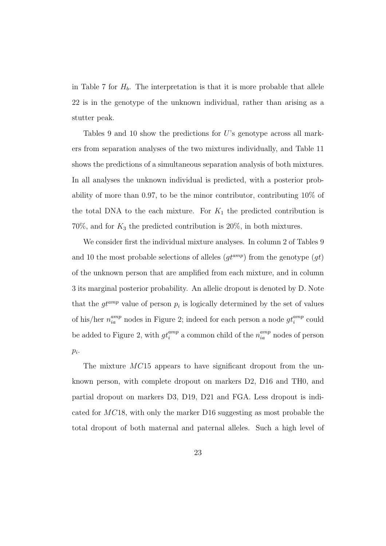in Table 7 for  $H_b$ . The interpretation is that it is more probable that allele 22 is in the genotype of the unknown individual, rather than arising as a stutter peak.

Tables 9 and 10 show the predictions for  $U$ 's genotype across all markers from separation analyses of the two mixtures individually, and Table 11 shows the predictions of a simultaneous separation analysis of both mixtures. In all analyses the unknown individual is predicted, with a posterior probability of more than 0.97, to be the minor contributor, contributing 10% of the total DNA to the each mixture. For  $K_1$  the predicted contribution is  $70\%$ , and for  $K_3$  the predicted contribution is  $20\%$ , in both mixtures.

We consider first the individual mixture analyses. In column 2 of Tables 9 and 10 the most probable selections of alleles  $(gt^{amp})$  from the genotype  $(gt)$ of the unknown person that are amplified from each mixture, and in column 3 its marginal posterior probability. An allelic dropout is denoted by D. Note that the  $gt^{amp}$  value of person  $p_i$  is logically determined by the set of values of his/her  $n_{ia}^{amp}$  nodes in Figure 2; indeed for each person a node  $gt_i^{amp}$  could be added to Figure 2, with  $gt_i^{amp}$  a common child of the  $n_{ia}^{amp}$  nodes of person  $p_i$ .

The mixture MC15 appears to have significant dropout from the unknown person, with complete dropout on markers D2, D16 and TH0, and partial dropout on markers D3, D19, D21 and FGA. Less dropout is indicated for MC18, with only the marker D16 suggesting as most probable the total dropout of both maternal and paternal alleles. Such a high level of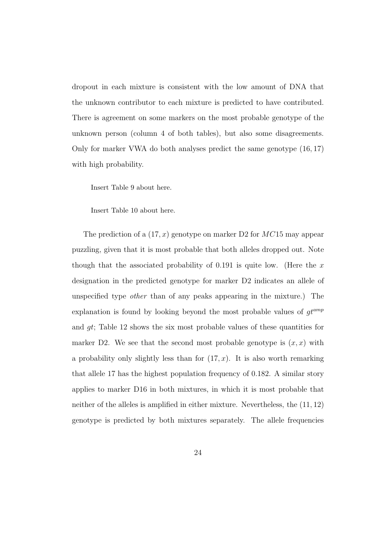dropout in each mixture is consistent with the low amount of DNA that the unknown contributor to each mixture is predicted to have contributed. There is agreement on some markers on the most probable genotype of the unknown person (column 4 of both tables), but also some disagreements. Only for marker VWA do both analyses predict the same genotype (16, 17) with high probability.

Insert Table 9 about here.

Insert Table 10 about here.

The prediction of a  $(17, x)$  genotype on marker D2 for  $MC15$  may appear puzzling, given that it is most probable that both alleles dropped out. Note though that the associated probability of 0.191 is quite low. (Here the  $x$ designation in the predicted genotype for marker D2 indicates an allele of unspecified type *other* than of any peaks appearing in the mixture.) The explanation is found by looking beyond the most probable values of  $gt^{amp}$ and gt; Table 12 shows the six most probable values of these quantities for marker D2. We see that the second most probable genotype is  $(x, x)$  with a probability only slightly less than for  $(17, x)$ . It is also worth remarking that allele 17 has the highest population frequency of 0.182. A similar story applies to marker D16 in both mixtures, in which it is most probable that neither of the alleles is amplified in either mixture. Nevertheless, the (11, 12) genotype is predicted by both mixtures separately. The allele frequencies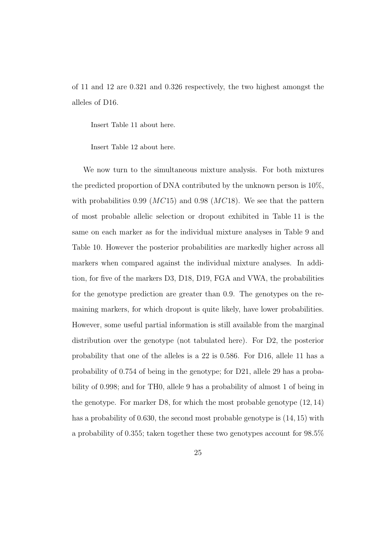of 11 and 12 are 0.321 and 0.326 respectively, the two highest amongst the alleles of D16.

Insert Table 11 about here.

Insert Table 12 about here.

We now turn to the simultaneous mixture analysis. For both mixtures the predicted proportion of DNA contributed by the unknown person is 10%, with probabilities 0.99 ( $MC15$ ) and 0.98 ( $MC18$ ). We see that the pattern of most probable allelic selection or dropout exhibited in Table 11 is the same on each marker as for the individual mixture analyses in Table 9 and Table 10. However the posterior probabilities are markedly higher across all markers when compared against the individual mixture analyses. In addition, for five of the markers D3, D18, D19, FGA and VWA, the probabilities for the genotype prediction are greater than 0.9. The genotypes on the remaining markers, for which dropout is quite likely, have lower probabilities. However, some useful partial information is still available from the marginal distribution over the genotype (not tabulated here). For D2, the posterior probability that one of the alleles is a 22 is 0.586. For D16, allele 11 has a probability of 0.754 of being in the genotype; for D21, allele 29 has a probability of 0.998; and for TH0, allele 9 has a probability of almost 1 of being in the genotype. For marker D8, for which the most probable genotype (12, 14) has a probability of 0.630, the second most probable genotype is (14, 15) with a probability of 0.355; taken together these two genotypes account for 98.5%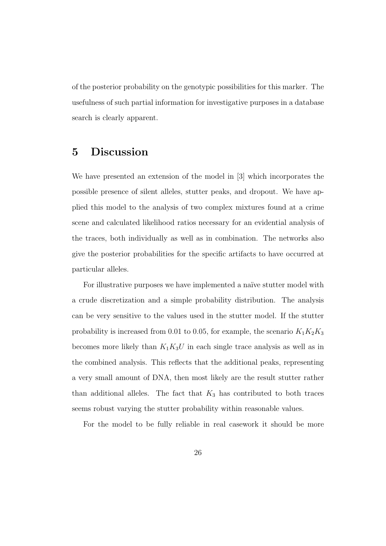of the posterior probability on the genotypic possibilities for this marker. The usefulness of such partial information for investigative purposes in a database search is clearly apparent.

## 5 Discussion

We have presented an extension of the model in [3] which incorporates the possible presence of silent alleles, stutter peaks, and dropout. We have applied this model to the analysis of two complex mixtures found at a crime scene and calculated likelihood ratios necessary for an evidential analysis of the traces, both individually as well as in combination. The networks also give the posterior probabilities for the specific artifacts to have occurred at particular alleles.

For illustrative purposes we have implemented a naïve stutter model with a crude discretization and a simple probability distribution. The analysis can be very sensitive to the values used in the stutter model. If the stutter probability is increased from 0.01 to 0.05, for example, the scenario  $K_1K_2K_3$ becomes more likely than  $K_1K_3U$  in each single trace analysis as well as in the combined analysis. This reflects that the additional peaks, representing a very small amount of DNA, then most likely are the result stutter rather than additional alleles. The fact that  $K_3$  has contributed to both traces seems robust varying the stutter probability within reasonable values.

For the model to be fully reliable in real casework it should be more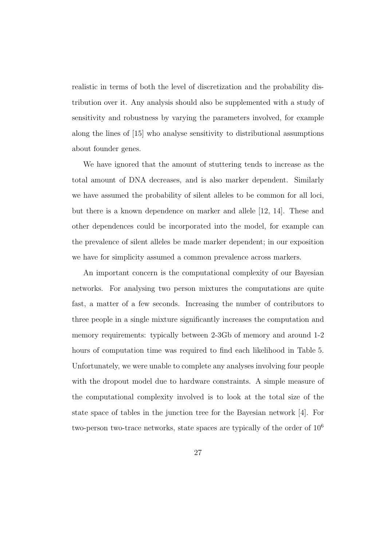realistic in terms of both the level of discretization and the probability distribution over it. Any analysis should also be supplemented with a study of sensitivity and robustness by varying the parameters involved, for example along the lines of [15] who analyse sensitivity to distributional assumptions about founder genes.

We have ignored that the amount of stuttering tends to increase as the total amount of DNA decreases, and is also marker dependent. Similarly we have assumed the probability of silent alleles to be common for all loci, but there is a known dependence on marker and allele [12, 14]. These and other dependences could be incorporated into the model, for example can the prevalence of silent alleles be made marker dependent; in our exposition we have for simplicity assumed a common prevalence across markers.

An important concern is the computational complexity of our Bayesian networks. For analysing two person mixtures the computations are quite fast, a matter of a few seconds. Increasing the number of contributors to three people in a single mixture significantly increases the computation and memory requirements: typically between 2-3Gb of memory and around 1-2 hours of computation time was required to find each likelihood in Table 5. Unfortunately, we were unable to complete any analyses involving four people with the dropout model due to hardware constraints. A simple measure of the computational complexity involved is to look at the total size of the state space of tables in the junction tree for the Bayesian network [4]. For two-person two-trace networks, state spaces are typically of the order of  $10<sup>6</sup>$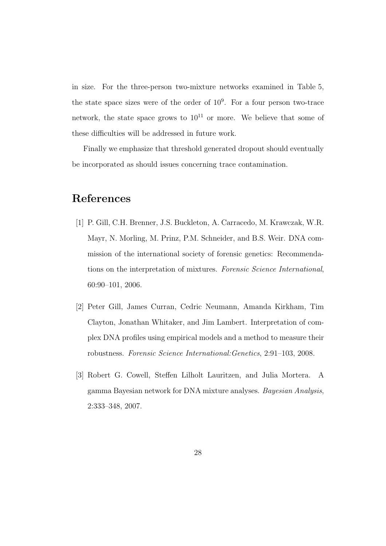in size. For the three-person two-mixture networks examined in Table 5, the state space sizes were of the order of  $10<sup>9</sup>$ . For a four person two-trace network, the state space grows to  $10^{11}$  or more. We believe that some of these difficulties will be addressed in future work.

Finally we emphasize that threshold generated dropout should eventually be incorporated as should issues concerning trace contamination.

## References

- [1] P. Gill, C.H. Brenner, J.S. Buckleton, A. Carracedo, M. Krawczak, W.R. Mayr, N. Morling, M. Prinz, P.M. Schneider, and B.S. Weir. DNA commission of the international society of forensic genetics: Recommendations on the interpretation of mixtures. *Forensic Science International*, 60:90–101, 2006.
- [2] Peter Gill, James Curran, Cedric Neumann, Amanda Kirkham, Tim Clayton, Jonathan Whitaker, and Jim Lambert. Interpretation of complex DNA profiles using empirical models and a method to measure their robustness. *Forensic Science International:Genetics*, 2:91–103, 2008.
- [3] Robert G. Cowell, Steffen Lilholt Lauritzen, and Julia Mortera. A gamma Bayesian network for DNA mixture analyses. *Bayesian Analysis*, 2:333–348, 2007.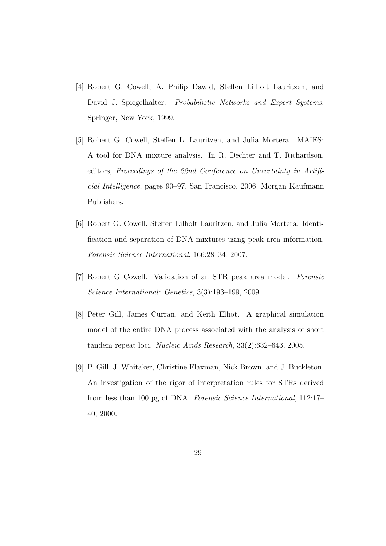- [4] Robert G. Cowell, A. Philip Dawid, Steffen Lilholt Lauritzen, and David J. Spiegelhalter. *Probabilistic Networks and Expert Systems*. Springer, New York, 1999.
- [5] Robert G. Cowell, Steffen L. Lauritzen, and Julia Mortera. MAIES: A tool for DNA mixture analysis. In R. Dechter and T. Richardson, editors, *Proceedings of the 22nd Conference on Uncertainty in Artificial Intelligence*, pages 90–97, San Francisco, 2006. Morgan Kaufmann Publishers.
- [6] Robert G. Cowell, Steffen Lilholt Lauritzen, and Julia Mortera. Identification and separation of DNA mixtures using peak area information. *Forensic Science International*, 166:28–34, 2007.
- [7] Robert G Cowell. Validation of an STR peak area model. *Forensic Science International: Genetics*, 3(3):193–199, 2009.
- [8] Peter Gill, James Curran, and Keith Elliot. A graphical simulation model of the entire DNA process associated with the analysis of short tandem repeat loci. *Nucleic Acids Research*, 33(2):632–643, 2005.
- [9] P. Gill, J. Whitaker, Christine Flaxman, Nick Brown, and J. Buckleton. An investigation of the rigor of interpretation rules for STRs derived from less than 100 pg of DNA. *Forensic Science International*, 112:17– 40, 2000.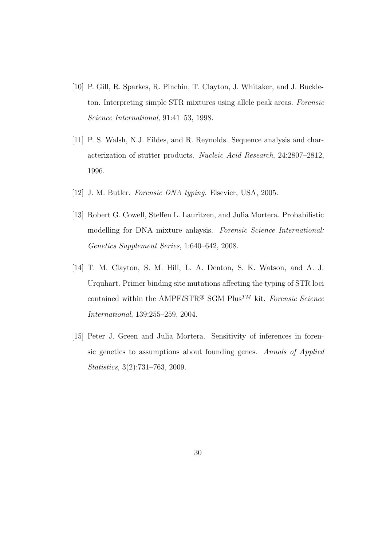- [10] P. Gill, R. Sparkes, R. Pinchin, T. Clayton, J. Whitaker, and J. Buckleton. Interpreting simple STR mixtures using allele peak areas. *Forensic Science International*, 91:41–53, 1998.
- [11] P. S. Walsh, N.J. Fildes, and R. Reynolds. Sequence analysis and characterization of stutter products. *Nucleic Acid Research*, 24:2807–2812, 1996.
- [12] J. M. Butler. *Forensic DNA typing*. Elsevier, USA, 2005.
- [13] Robert G. Cowell, Steffen L. Lauritzen, and Julia Mortera. Probabilistic modelling for DNA mixture anlaysis. *Forensic Science International: Genetics Supplement Series*, 1:640–642, 2008.
- [14] T. M. Clayton, S. M. Hill, L. A. Denton, S. K. Watson, and A. J. Urquhart. Primer binding site mutations affecting the typing of STR loci contained within the AMPF*lSTR®* SGM Plus<sup>TM</sup> kit. *Forensic Science International*, 139:255–259, 2004.
- [15] Peter J. Green and Julia Mortera. Sensitivity of inferences in forensic genetics to assumptions about founding genes. *Annals of Applied Statistics*, 3(2):731–763, 2009.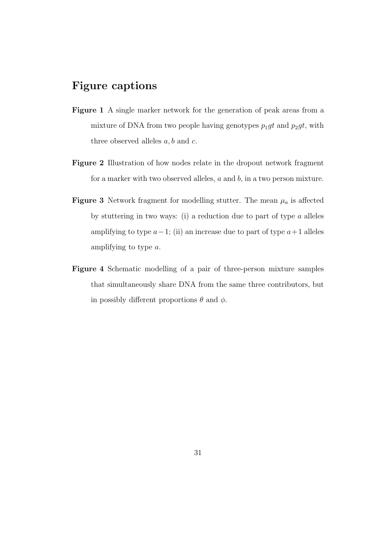## Figure captions

- Figure 1 A single marker network for the generation of peak areas from a mixture of DNA from two people having genotypes  $p_1gt$  and  $p_2gt$ , with three observed alleles  $a, b$  and  $c$ .
- Figure 2 Illustration of how nodes relate in the dropout network fragment for a marker with two observed alleles,  $a$  and  $b$ , in a two person mixture.
- **Figure 3** Network fragment for modelling stutter. The mean  $\mu_a$  is affected by stuttering in two ways: (i) a reduction due to part of type  $a$  alleles amplifying to type  $a-1$ ; (ii) an increase due to part of type  $a+1$  alleles amplifying to type a.
- Figure 4 Schematic modelling of a pair of three-person mixture samples that simultaneously share DNA from the same three contributors, but in possibly different proportions  $\theta$  and  $\phi$ .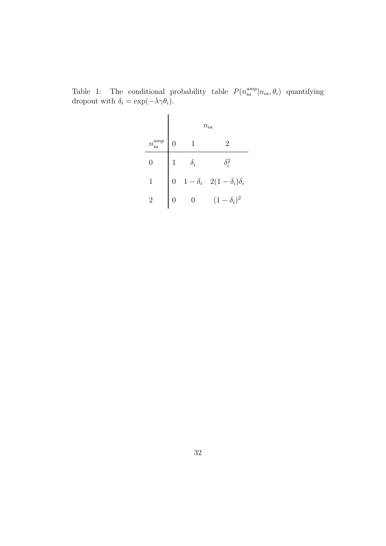|                | $\mathcal{n}_{ia}$ |                |                                              |  |  |
|----------------|--------------------|----------------|----------------------------------------------|--|--|
| $n_{ia}^{amp}$ | $\overline{0}$     |                | $\overline{2}$                               |  |  |
| 0              |                    | $\delta_i$     | $\delta_i^2$                                 |  |  |
| 1              | $\overline{0}$     |                | $1 - \delta_i \quad 2(1 - \delta_i)\delta_i$ |  |  |
| $\overline{2}$ |                    | $\overline{0}$ | $(1 - \delta_i)^2$                           |  |  |

Table 1: The conditional probability table  $P(n_{ia}^{amp} | n_{ia}, \theta_i)$  quantifying dropout with  $\delta_i = \exp(-\lambda \gamma \theta_i)$ .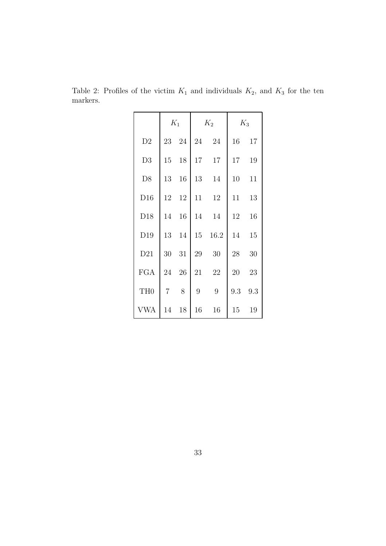|                 | $K_1$          |       | $K_2$ |      | $K_3$ |     |
|-----------------|----------------|-------|-------|------|-------|-----|
| D2              |                | 23 24 | 24    | 24   | 16    | 17  |
| D3              | 15             | 18    | 17    | 17   | 17    | 19  |
| D <sub>8</sub>  | 13             | 16    | 13    | 14   | 10    | 11  |
| D16             | 12             | 12    | 11    | 12   | 11    | 13  |
| D18             | 14             | 16    | 14    | 14   | 12    | 16  |
| D19             | 13             | 14    | 15    | 16.2 | 14    | 15  |
| D21             | 30             | 31    | 29    | 30   | 28    | 30  |
| <b>FGA</b>      | 24             | 26    | 21    | 22   | 20    | 23  |
| TH <sub>0</sub> | $\overline{7}$ | 8     | 9     | 9    | 9.3   | 9.3 |
| <b>VWA</b>      | 14             | 18    | 16    | 16   | 15    | 19  |

Table 2: Profiles of the victim  $K_1$  and individuals  $K_2$ , and  $K_3$  for the ten markers.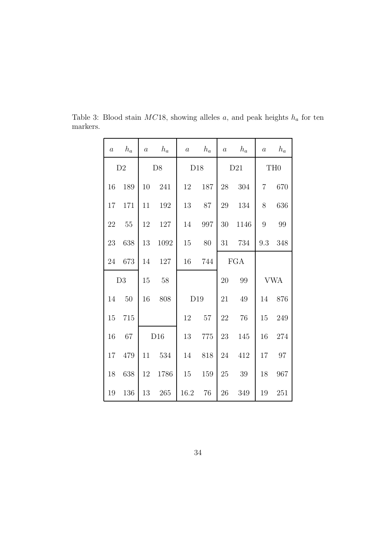| $\boldsymbol{a}$ | $h_a$         | $\boldsymbol{a}$ | $h_a$ | $\boldsymbol{a}$ | $h_a$ | $\boldsymbol{a}$ | $h_a$      | $\boldsymbol{a}$ | $h_a$      |
|------------------|---------------|------------------|-------|------------------|-------|------------------|------------|------------------|------------|
|                  | $\mathbf{D}2$ |                  | D8    | D18              |       | D21              |            | TH <sub>0</sub>  |            |
| 16               | 189           | 10               | 241   | 12               | 187   | 28               | 304        | $\overline{7}$   | 670        |
| 17               | 171           | 11               | 192   | 13               | 87    | 29               | 134        | 8                | 636        |
| 22               | 55            | 12               | 127   | 14               | 997   | 30               | 1146       | 9                | 99         |
| 23               | 638           | 13               | 1092  | 15               | 80    | 31               | 734        | 9.3              | 348        |
| 24               | 673           | 14               | 127   | 16               | 744   |                  | <b>FGA</b> |                  |            |
|                  | D3            | 15               | 58    |                  |       | 20               | 99         |                  | <b>VWA</b> |
| 14               | 50            | 16               | 808   | D19              |       | 21               | 49         | 14               | 876        |
| 15               | 715           |                  |       | 12               | 57    | 22               | 76         | 15               | 249        |
| 16               | 67            |                  | D16   | 13               | 775   | 23               | 145        | 16               | 274        |
| 17               | 479           | 11               | 534   | 14               | 818   | 24               | 412        | 17               | 97         |
| 18               | 638           | 12               | 1786  | $15\,$           | 159   | 25               | $39\,$     | 18               | 967        |
| 19               | 136           | 13               | 265   | 16.2             | 76    | 26               | 349        | 19               | 251        |

Table 3: Blood stain  $MC18$ , showing alleles a, and peak heights  $h_a$  for ten markers.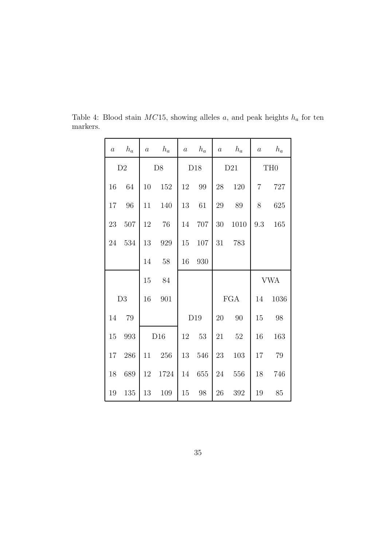| $\boldsymbol{a}$ | $h_a$         | $\boldsymbol{a}$ | $h_a$ | $\boldsymbol{a}$ | $h_a$ | $\boldsymbol{a}$ | $h_a$ | $\boldsymbol{a}$ | $h_a$           |
|------------------|---------------|------------------|-------|------------------|-------|------------------|-------|------------------|-----------------|
|                  | $\mathbf{D}2$ |                  | D8    |                  | D18   | D21              |       |                  | TH <sub>0</sub> |
| 16               | 64            | 10               | 152   | 12               | 99    | 28               | 120   | 7                | 727             |
| 17               | 96            | 11               | 140   | 13               | 61    | 29               | 89    | 8                | 625             |
| 23               | 507           | 12               | 76    | 14               | 707   | $30\,$           | 1010  | 9.3              | 165             |
| 24               | 534           | 13               | 929   | 15               | 107   | 31               | 783   |                  |                 |
|                  |               | 14               | 58    | 16               | 930   |                  |       |                  |                 |
|                  |               |                  |       |                  |       |                  |       |                  |                 |
|                  |               | 15               | 84    |                  |       |                  |       |                  | <b>VWA</b>      |
|                  | D3            | 16               | 901   |                  |       |                  | FGA   | 14               | 1036            |
| 14               | 79            |                  |       |                  | D19   | 20               | 90    | 15               | 98              |
| 15               | 993           |                  | D16   | 12               | 53    | 21               | 52    | 16               | 163             |
| 17               | 286           | 11               | 256   | 13               | 546   | 23               | 103   | 17               | 79              |
| 18               | 689           | 12               | 1724  | 14               | 655   | 24               | 556   | 18               | 746             |

Table 4: Blood stain  $MC15$ , showing alleles a, and peak heights  $h_a$  for ten markers.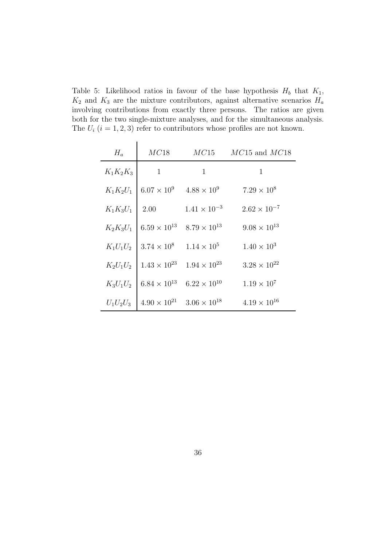Table 5: Likelihood ratios in favour of the base hypothesis  $H_b$  that  $K_1$ ,  $K_2$  and  $K_3$  are the mixture contributors, against alternative scenarios  $H_a$ involving contributions from exactly three persons. The ratios are given both for the two single-mixture analyses, and for the simultaneous analysis. The  $U_i$   $(i = 1, 2, 3)$  refer to contributors whose profiles are not known.

| $H_a$       | MC18                  | MC15                  | $MC15$ and $MC18$     |
|-------------|-----------------------|-----------------------|-----------------------|
| $K_1K_2K_3$ | $\mathbf{1}$          | $\mathbf{1}$          | $\mathbf{1}$          |
| $K_1K_2U_1$ | $6.07 \times 10^{9}$  | $4.88 \times 10^{9}$  | $7.29 \times 10^8$    |
| $K_1K_3U_1$ | 2.00                  | $1.41 \times 10^{-3}$ | $2.62 \times 10^{-7}$ |
| $K_2K_3U_1$ | $6.59 \times 10^{13}$ | $8.79 \times 10^{13}$ | $9.08 \times 10^{13}$ |
| $K_1U_1U_2$ | $3.74 \times 10^{8}$  | $1.14 \times 10^{5}$  | $1.40 \times 10^{3}$  |
| $K_2U_1U_2$ | $1.43 \times 10^{23}$ | $1.94 \times 10^{23}$ | $3.28 \times 10^{22}$ |
| $K_3U_1U_2$ | $6.84 \times 10^{13}$ | $6.22 \times 10^{10}$ | $1.19 \times 10^{7}$  |
| $U_1U_2U_3$ | $4.90 \times 10^{21}$ | $3.06 \times 10^{18}$ | $4.19 \times 10^{16}$ |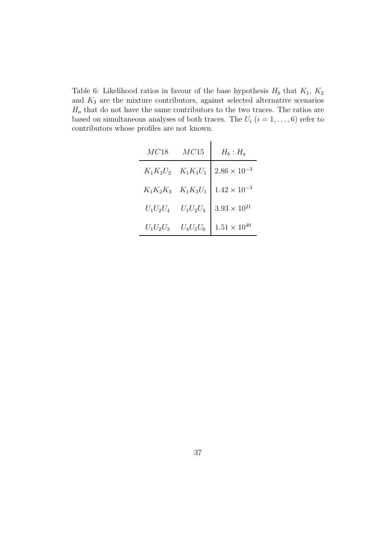Table 6: Likelihood ratios in favour of the base hypothesis  $H_b$  that  $K_1$ ,  $K_2$ and  $K_3$  are the mixture contributors, against selected alternative scenarios  $H_a$  that do not have the same contributors to the two traces. The ratios are based on simultaneous analyses of both traces. The  $U_i$   $(i = 1, \ldots, 6)$  refer to contributors whose profiles are not known.

| MC18        | MC15        | $H_b: H_a$            |
|-------------|-------------|-----------------------|
| $K_1K_3U_2$ | $K_1K_3U_1$ | $2.86 \times 10^{-3}$ |
| $K_1K_2K_3$ | $K_1K_3U_1$ | $1.42 \times 10^{-3}$ |
| $U_1U_2U_4$ | $U_1U_2U_3$ | $3.93 \times 10^{21}$ |
| $U_1U_2U_3$ | $U_4U_5U_6$ | $1.51 \times 10^{40}$ |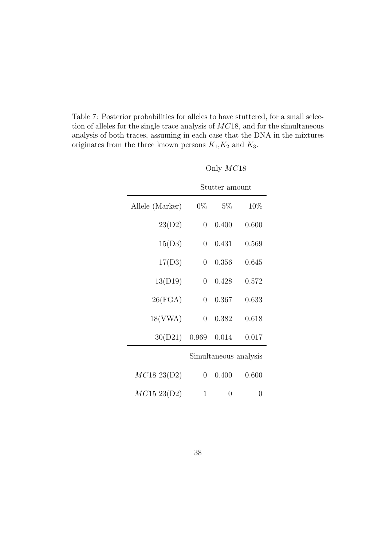Table 7: Posterior probabilities for alleles to have stuttered, for a small selection of alleles for the single trace analysis of MC18, and for the simultaneous analysis of both traces, assuming in each case that the DNA in the mixtures originates from the three known persons  $K_1, K_2$  and  $K_3.$ 

|                 | Only $MC18$           |                |       |  |  |
|-----------------|-----------------------|----------------|-------|--|--|
|                 |                       | Stutter amount |       |  |  |
| Allele (Marker) | $0\%$                 | $-5\%$         | 10%   |  |  |
| 23(D2)          | $\overline{0}$        | 0.400          | 0.600 |  |  |
| 15(D3)          | $\overline{0}$        | 0.431          | 0.569 |  |  |
| 17(D3)          | $\overline{0}$        | 0.356          | 0.645 |  |  |
| 13(D19)         | $\overline{0}$        | 0.428          | 0.572 |  |  |
| 26(FGA)         | $\overline{0}$        | 0.367          | 0.633 |  |  |
| 18(VWA)         | $\overline{0}$        | 0.382          | 0.618 |  |  |
| 30(D21)         | 0.969                 | 0.014          | 0.017 |  |  |
|                 | Simultaneous analysis |                |       |  |  |
| MC1823(D2)      | $\overline{0}$        | 0.400          | 0.600 |  |  |
| $MC15\;23(D2)$  | $\mathbf 1$           | 0              | 0     |  |  |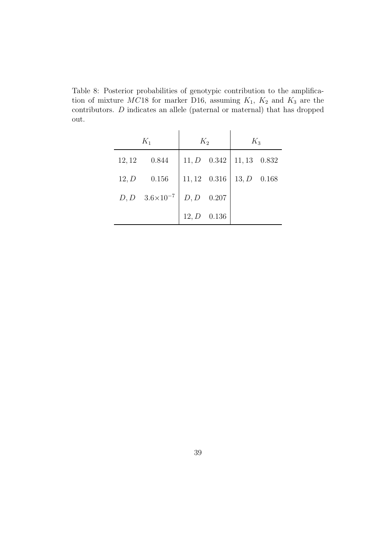Table 8: Posterior probabilities of genotypic contribution to the amplification of mixture  $MC18$  for marker D16, assuming  $K_1$ ,  $K_2$  and  $K_3$  are the contributors. D indicates an allele (paternal or maternal) that has dropped out.

|        | $K_1$                           | $K_2$              |                | $K_3$          |       |
|--------|---------------------------------|--------------------|----------------|----------------|-------|
| 12, 12 | 0.844                           |                    | $11, D$ 0.342  | $11, 13$ 0.832 |       |
| 12, D  | 0.156                           | $11,12\quad 0.316$ |                | 13, D          | 0.168 |
|        | $D, D \quad 3.6 \times 10^{-7}$ |                    | $D, D = 0.207$ |                |       |
|        |                                 | 12, D              | 0.136          |                |       |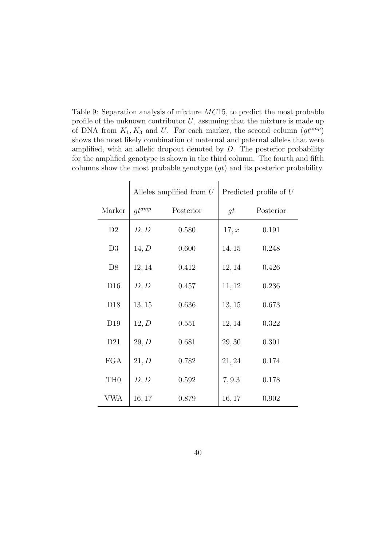Table 9: Separation analysis of mixture MC15, to predict the most probable profile of the unknown contributor  $U$ , assuming that the mixture is made up of DNA from  $K_1, K_3$  and U. For each marker, the second column  $(gt^{amp})$ shows the most likely combination of maternal and paternal alleles that were amplified, with an allelic dropout denoted by  $D$ . The posterior probability for the amplified genotype is shown in the third column. The fourth and fifth columns show the most probable genotype  $(gt)$  and its posterior probability.

|                 |            | Alleles amplified from $U$ | Predicted profile of $U$ |           |  |
|-----------------|------------|----------------------------|--------------------------|-----------|--|
| Marker          | $gt^{amp}$ | Posterior                  | gt                       | Posterior |  |
| D2              | D, D       | 0.580                      | 17, x                    | 0.191     |  |
| D3              | 14, D      | 0.600                      | 14, 15                   | 0.248     |  |
| D <sub>8</sub>  | 12, 14     | 0.412                      | 12, 14                   | 0.426     |  |
| D16             | D, D       | 0.457                      | 11, 12                   | 0.236     |  |
| D18             | 13, 15     | 0.636                      | 13, 15                   | 0.673     |  |
| D <sub>19</sub> | 12, D      | 0.551                      | 12, 14                   | 0.322     |  |
| D21             | 29, D      | 0.681                      | 29,30                    | 0.301     |  |
| <b>FGA</b>      | 21, D      | 0.782                      | 21, 24                   | 0.174     |  |
| TH <sub>0</sub> | D, D       | 0.592                      | 7, 9.3                   | 0.178     |  |
| VWA             | 16, 17     | 0.879                      | 16, 17                   | 0.902     |  |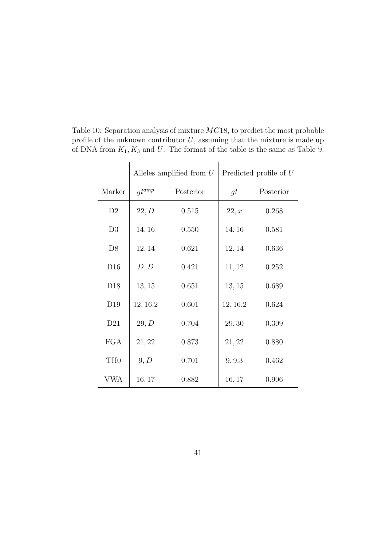|                 |            | Alleles amplified from $U$ | Predicted profile of $U$ |           |  |
|-----------------|------------|----------------------------|--------------------------|-----------|--|
| Marker          | $gt^{amp}$ | Posterior                  | gt                       | Posterior |  |
| D2              | 22, D      | 0.515                      | 22, x                    | 0.268     |  |
| D3              | 14, 16     | 0.550                      | 14, 16                   | 0.581     |  |
| D <sub>8</sub>  | 12, 14     | 0.621                      | 12, 14                   | 0.636     |  |
| D16             | D, D       | 0.421                      | 11, 12                   | 0.252     |  |
| D <sub>18</sub> | 13, 15     | 0.651                      | 13, 15                   | 0.689     |  |
| D <sub>19</sub> | 12, 16.2   | 0.601                      | 12, 16.2                 | 0.624     |  |
| D21             | 29, D      | 0.704                      | 29,30                    | 0.309     |  |
| <b>FGA</b>      | 21, 22     | 0.873                      | 21, 22                   | 0.880     |  |
| TH <sub>0</sub> | 9, D       | 0.701                      | 9, 9.3                   | 0.462     |  |
| VWA             | 16, 17     | 0.882                      | 16, 17                   | 0.906     |  |

Table 10: Separation analysis of mixture MC18, to predict the most probable profile of the unknown contributor  $U$ , assuming that the mixture is made up of DNA from  $K_1, K_3$  and U. The format of the table is the same as Table 9.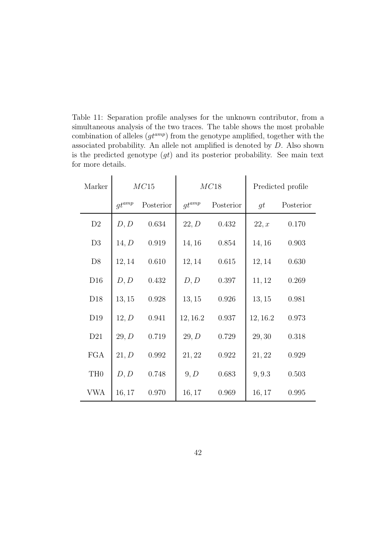Table 11: Separation profile analyses for the unknown contributor, from a simultaneous analysis of the two traces. The table shows the most probable combination of alleles  $(gt^{amp})$  from the genotype amplified, together with the associated probability. An allele not amplified is denoted by D. Also shown is the predicted genotype  $(gt)$  and its posterior probability. See main text for more details.

| Marker          | MC15       |           | MC18       |           | Predicted profile |           |
|-----------------|------------|-----------|------------|-----------|-------------------|-----------|
|                 | $gt^{amp}$ | Posterior | $gt^{amp}$ | Posterior | gt                | Posterior |
| D2              | D, D       | 0.634     | 22, D      | 0.432     | 22, x             | 0.170     |
| D3              | 14, D      | 0.919     | 14, 16     | 0.854     | 14, 16            | 0.903     |
| D <sub>8</sub>  | 12, 14     | 0.610     | 12, 14     | 0.615     | 12, 14            | 0.630     |
| D16             | D, D       | 0.432     | D, D       | 0.397     | 11, 12            | 0.269     |
| D <sub>18</sub> | 13, 15     | 0.928     | 13, 15     | 0.926     | 13, 15            | 0.981     |
| D <sub>19</sub> | 12, D      | 0.941     | 12, 16.2   | 0.937     | 12, 16.2          | 0.973     |
| D21             | 29, D      | 0.719     | 29, D      | 0.729     | 29, 30            | 0.318     |
| <b>FGA</b>      | 21, D      | 0.992     | 21, 22     | 0.922     | 21, 22            | 0.929     |
| TH <sub>0</sub> | D, D       | 0.748     | 9, D       | 0.683     | 9, 9.3            | 0.503     |
| <b>VWA</b>      | 16, 17     | 0.970     | 16, 17     | 0.969     | 16, 17            | 0.995     |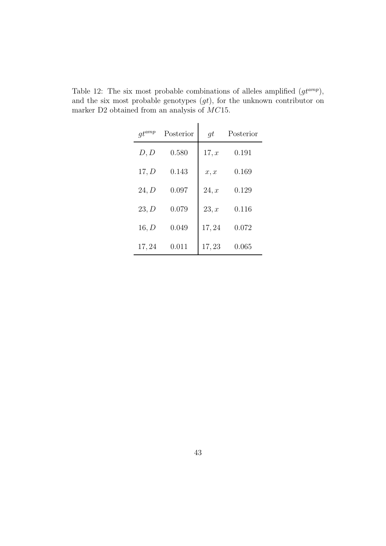| $gt^{amp}$ | Posterior | gt    | Posterior |
|------------|-----------|-------|-----------|
| D, D       | 0.580     | 17, x | 0.191     |
| 17, D      | 0.143     | x, x  | 0.169     |
| 24, D      | 0.097     | 24, x | 0.129     |
| 23, D      | 0.079     | 23, x | 0.116     |
| 16, D      | 0.049     | 17,24 | 0.072     |
| 17,24      | 0.011     | 17,23 | 0.065     |

Table 12: The six most probable combinations of alleles amplified  $(gt^{amp})$ , and the six most probable genotypes  $(gt)$ , for the unknown contributor on marker D2 obtained from an analysis of  $MC15$ .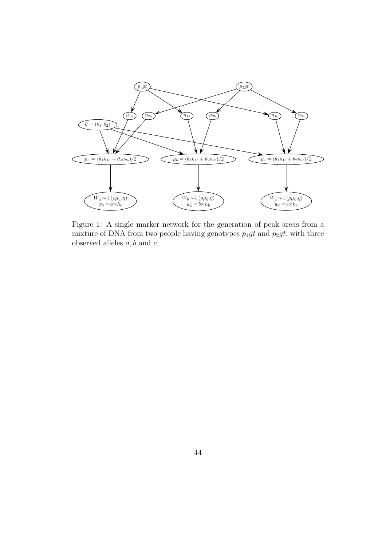

Figure 1: A single marker network for the generation of peak areas from a mixture of DNA from two people having genotypes  $p_1gt$  and  $p_2gt$ , with three observed alleles  $a, b$  and  $c$ .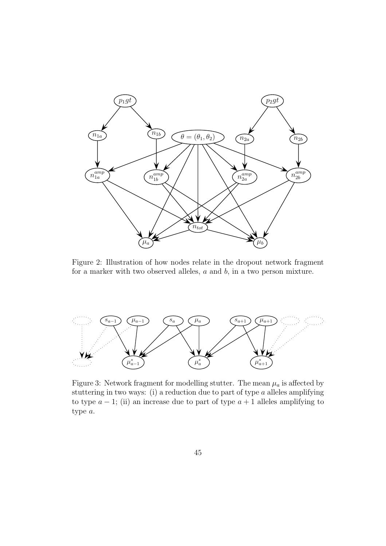

Figure 2: Illustration of how nodes relate in the dropout network fragment for a marker with two observed alleles,  $a$  and  $b$ , in a two person mixture.



Figure 3: Network fragment for modelling stutter. The mean  $\mu_a$  is affected by stuttering in two ways: (i) a reduction due to part of type  $a$  alleles amplifying to type  $a - 1$ ; (ii) an increase due to part of type  $a + 1$  alleles amplifying to type a.